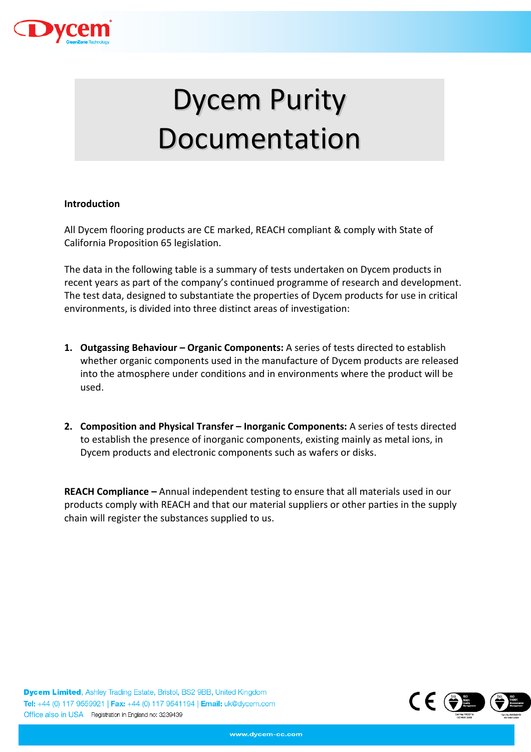

# Dycem Purity Documentation

# Introduction

All Dycem flooring products are CE marked, REACH compliant & comply with State of California Proposition 65 legislation.

The data in the following table is a summary of tests undertaken on Dycem products in recent years as part of the company's continued programme of research and development. The test data, designed to substantiate the properties of Dycem products for use in critical environments, is divided into three distinct areas of investigation:

- 1. Outgassing Behaviour Organic Components: A series of tests directed to establish whether organic components used in the manufacture of Dycem products are released into the atmosphere under conditions and in environments where the product will be used.
- 2. Composition and Physical Transfer Inorganic Components: A series of tests directed to establish the presence of inorganic components, existing mainly as metal ions, in Dycem products and electronic components such as wafers or disks.

REACH Compliance – Annual independent testing to ensure that all materials used in our products comply with REACH and that our material suppliers or other parties in the supply chain will register the substances supplied to us.

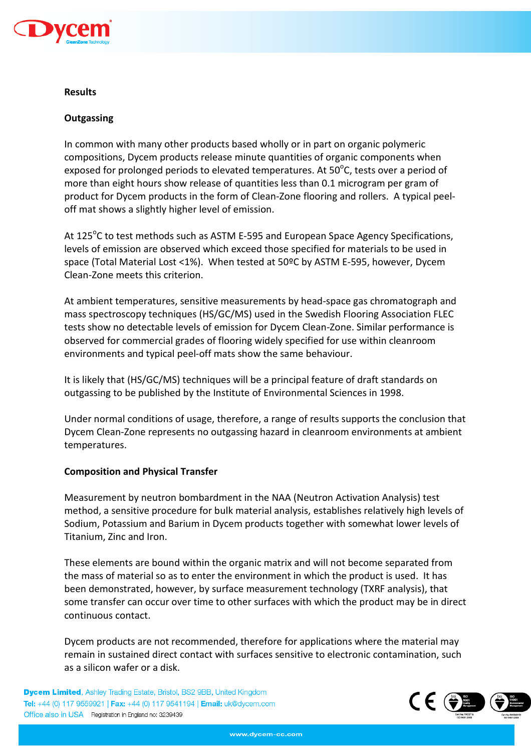

#### Results

# **Outgassing**

In common with many other products based wholly or in part on organic polymeric compositions, Dycem products release minute quantities of organic components when exposed for prolonged periods to elevated temperatures. At 50 $\rm ^o$ C, tests over a period of more than eight hours show release of quantities less than 0.1 microgram per gram of product for Dycem products in the form of Clean-Zone flooring and rollers. A typical peeloff mat shows a slightly higher level of emission.

At 125<sup>o</sup>C to test methods such as ASTM E-595 and European Space Agency Specifications, levels of emission are observed which exceed those specified for materials to be used in space (Total Material Lost <1%). When tested at 50ºC by ASTM E-595, however, Dycem Clean-Zone meets this criterion.

At ambient temperatures, sensitive measurements by head-space gas chromatograph and mass spectroscopy techniques (HS/GC/MS) used in the Swedish Flooring Association FLEC tests show no detectable levels of emission for Dycem Clean-Zone. Similar performance is observed for commercial grades of flooring widely specified for use within cleanroom environments and typical peel-off mats show the same behaviour.

It is likely that (HS/GC/MS) techniques will be a principal feature of draft standards on outgassing to be published by the Institute of Environmental Sciences in 1998.

Under normal conditions of usage, therefore, a range of results supports the conclusion that Dycem Clean-Zone represents no outgassing hazard in cleanroom environments at ambient temperatures.

## Composition and Physical Transfer

Measurement by neutron bombardment in the NAA (Neutron Activation Analysis) test method, a sensitive procedure for bulk material analysis, establishes relatively high levels of Sodium, Potassium and Barium in Dycem products together with somewhat lower levels of Titanium, Zinc and Iron.

These elements are bound within the organic matrix and will not become separated from the mass of material so as to enter the environment in which the product is used. It has been demonstrated, however, by surface measurement technology (TXRF analysis), that some transfer can occur over time to other surfaces with which the product may be in direct continuous contact.

Dycem products are not recommended, therefore for applications where the material may remain in sustained direct contact with surfaces sensitive to electronic contamination, such as a silicon wafer or a disk.

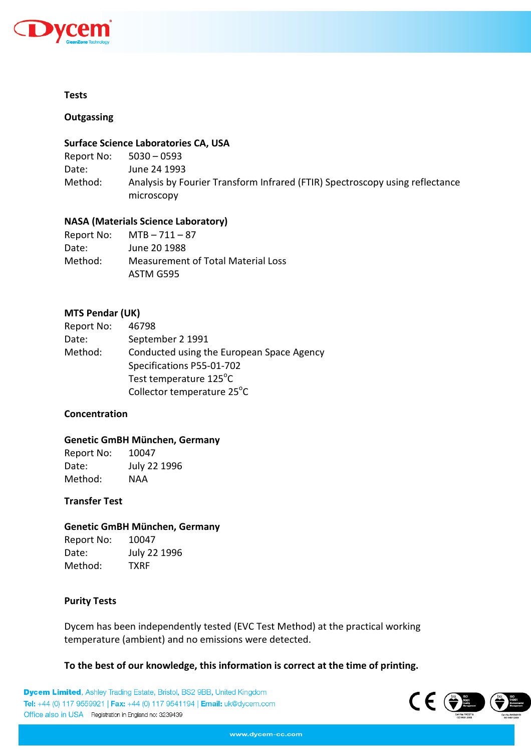

#### Tests

**Outgassing** 

#### Surface Science Laboratories CA, USA

| Report No: | $5030 - 0593$                                                                              |
|------------|--------------------------------------------------------------------------------------------|
| Date:      | June 24 1993                                                                               |
| Method:    | Analysis by Fourier Transform Infrared (FTIR) Spectroscopy using reflectance<br>microscopy |

# NASA (Materials Science Laboratory)

| Report No: | $MTB - 711 - 87$                   |
|------------|------------------------------------|
| Date:      | June 20 1988                       |
| Method:    | Measurement of Total Material Loss |
|            | ASTM G595                          |

# MTS Pendar (UK)

| Report No: | 46798                                     |
|------------|-------------------------------------------|
| Date:      | September 2 1991                          |
| Method:    | Conducted using the European Space Agency |
|            | Specifications P55-01-702                 |
|            | Test temperature 125°C                    |
|            | Collector temperature 25°C                |

## **Concentration**

## Genetic GmBH München, Germany

Report No: 10047 Date: July 22 1996 Method: NAA

#### Transfer Test

## Genetic GmBH München, Germany

| Report No: | 10047        |
|------------|--------------|
| Date:      | July 22 1996 |
| Method:    | <b>TXRF</b>  |

## Purity Tests

Dycem has been independently tested (EVC Test Method) at the practical working temperature (ambient) and no emissions were detected.

To the best of our knowledge, this information is correct at the time of printing.

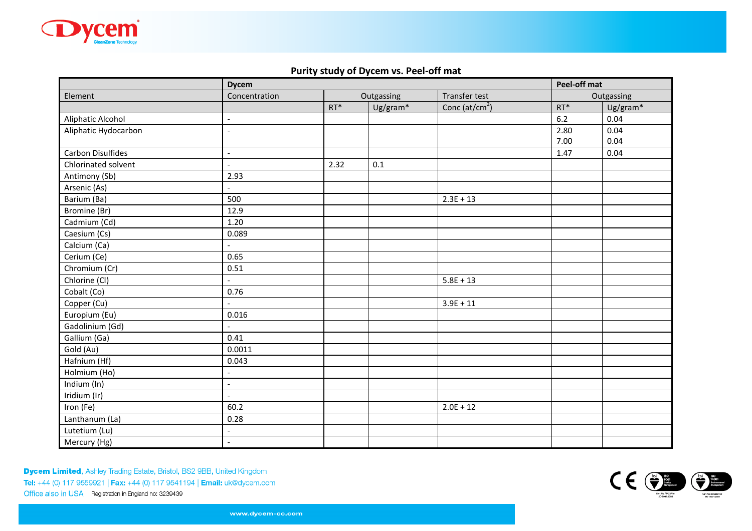

# Purity study of Dycem vs. Peel-off mat

|                          | <b>Dycem</b>             |            |          |                            | Peel-off mat |          |
|--------------------------|--------------------------|------------|----------|----------------------------|--------------|----------|
| Element                  | Concentration            | Outgassing |          | <b>Transfer test</b>       | Outgassing   |          |
|                          |                          | $RT^*$     | Ug/gram* | Conc (at/cm <sup>2</sup> ) | $RT^*$       | Ug/gram* |
| Aliphatic Alcohol        | $\overline{\phantom{a}}$ |            |          |                            | $6.2$        | 0.04     |
| Aliphatic Hydocarbon     | $\overline{a}$           |            |          |                            | 2.80         | 0.04     |
|                          |                          |            |          |                            | 7.00         | 0.04     |
| <b>Carbon Disulfides</b> | $\overline{\phantom{a}}$ |            |          |                            | 1.47         | 0.04     |
| Chlorinated solvent      | $\sim$                   | 2.32       | 0.1      |                            |              |          |
| Antimony (Sb)            | 2.93                     |            |          |                            |              |          |
| Arsenic (As)             |                          |            |          |                            |              |          |
| Barium (Ba)              | 500                      |            |          | $2.3E + 13$                |              |          |
| Bromine (Br)             | 12.9                     |            |          |                            |              |          |
| Cadmium (Cd)             | 1.20                     |            |          |                            |              |          |
| Caesium (Cs)             | 0.089                    |            |          |                            |              |          |
| Calcium (Ca)             | $\blacksquare$           |            |          |                            |              |          |
| Cerium (Ce)              | 0.65                     |            |          |                            |              |          |
| Chromium (Cr)            | 0.51                     |            |          |                            |              |          |
| Chlorine (Cl)            | $\blacksquare$           |            |          | $5.8E + 13$                |              |          |
| Cobalt (Co)              | 0.76                     |            |          |                            |              |          |
| Copper (Cu)              |                          |            |          | $3.9E + 11$                |              |          |
| Europium (Eu)            | 0.016                    |            |          |                            |              |          |
| Gadolinium (Gd)          | $\overline{\phantom{a}}$ |            |          |                            |              |          |
| Gallium (Ga)             | 0.41                     |            |          |                            |              |          |
| Gold (Au)                | 0.0011                   |            |          |                            |              |          |
| Hafnium (Hf)             | 0.043                    |            |          |                            |              |          |
| Holmium (Ho)             | $\blacksquare$           |            |          |                            |              |          |
| Indium (In)              | $\overline{\phantom{a}}$ |            |          |                            |              |          |
| Iridium (Ir)             | $\overline{\phantom{a}}$ |            |          |                            |              |          |
| Iron (Fe)                | 60.2                     |            |          | $2.0E + 12$                |              |          |
| Lanthanum (La)           | 0.28                     |            |          |                            |              |          |
| Lutetium (Lu)            | $\overline{\phantom{a}}$ |            |          |                            |              |          |
| Mercury (Hg)             | $\overline{\phantom{a}}$ |            |          |                            |              |          |

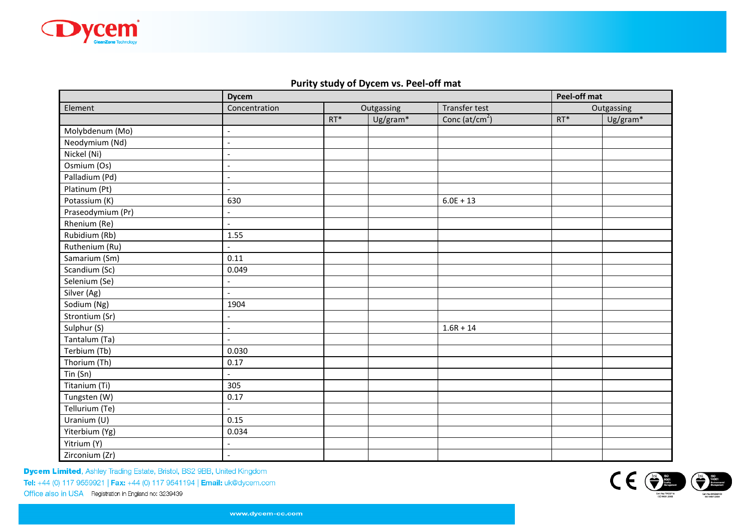

# Purity study of Dycem vs. Peel-off mat

|                          | <b>Dycem</b>             | Peel-off mat |            |                            |            |          |
|--------------------------|--------------------------|--------------|------------|----------------------------|------------|----------|
| Element                  | Concentration            |              | Outgassing | Transfer test              | Outgassing |          |
|                          |                          | $RT^*$       | Ug/gram*   | Conc (at/cm <sup>2</sup> ) | $RT^*$     | Ug/gram* |
| Molybdenum (Mo)          | $\overline{\phantom{a}}$ |              |            |                            |            |          |
| Neodymium (Nd)           | $\overline{\phantom{a}}$ |              |            |                            |            |          |
| Nickel (Ni)              | $\overline{\phantom{a}}$ |              |            |                            |            |          |
| Osmium (Os)              | $\overline{a}$           |              |            |                            |            |          |
| Palladium (Pd)           | $\overline{a}$           |              |            |                            |            |          |
| Platinum (Pt)            | $\overline{a}$           |              |            |                            |            |          |
| Potassium (K)            | 630                      |              |            | $6.0E + 13$                |            |          |
| Praseodymium (Pr)        | $\overline{\phantom{a}}$ |              |            |                            |            |          |
| Rhenium (Re)             | $\overline{a}$           |              |            |                            |            |          |
| Rubidium (Rb)            | 1.55                     |              |            |                            |            |          |
| Ruthenium (Ru)           |                          |              |            |                            |            |          |
| Samarium (Sm)            | 0.11                     |              |            |                            |            |          |
| Scandium (Sc)            | 0.049                    |              |            |                            |            |          |
| Selenium (Se)            | $\overline{\phantom{a}}$ |              |            |                            |            |          |
| Silver (Ag)              |                          |              |            |                            |            |          |
| Sodium (Ng)              | 1904                     |              |            |                            |            |          |
| Strontium (Sr)           | $\overline{\phantom{a}}$ |              |            |                            |            |          |
| Sulphur (S)              | $\overline{\phantom{a}}$ |              |            | $1.6R + 14$                |            |          |
| Tantalum (Ta)            | $\blacksquare$           |              |            |                            |            |          |
| Terbium (Tb)             | 0.030                    |              |            |                            |            |          |
| Thorium (Th)             | 0.17                     |              |            |                            |            |          |
| Tin (Sn)                 |                          |              |            |                            |            |          |
| Titanium (Ti)            | 305                      |              |            |                            |            |          |
| Tungsten (W)             | 0.17                     |              |            |                            |            |          |
| Tellurium (Te)           | $\overline{\phantom{a}}$ |              |            |                            |            |          |
| Uranium (U)              | 0.15                     |              |            |                            |            |          |
| Yiterbium (Yg)           | 0.034                    |              |            |                            |            |          |
| Yitrium $\overline{(Y)}$ |                          |              |            |                            |            |          |
| Zirconium (Zr)           | $\overline{a}$           |              |            |                            |            |          |

**Dycem Limited**, Ashley Trading Estate, Bristol, BS2 9BB, United Kingdom Tel: +44 (0) 117 9559921 | Fax: +44 (0) 117 9541194 | Email: uk@dycem.com

Office also in USA Registration in England no: 3239439